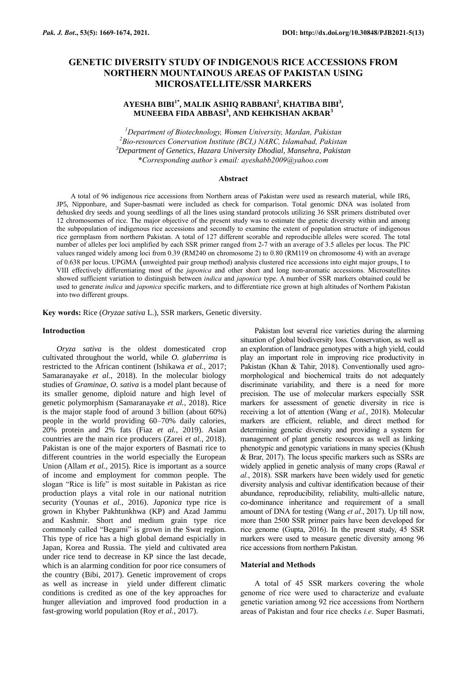# **GENETIC DIVERSITY STUDY OF INDIGENOUS RICE ACCESSIONS FROM NORTHERN MOUNTAINOUS AREAS OF PAKISTAN USING MICROSATELLITE/SSR MARKERS**

# **AYESHA BIBI1\* , MALIK ASHIQ RABBANI<sup>2</sup> , KHATIBA BIBI<sup>3</sup> , MUNEEBA FIDA ABBASI<sup>3</sup> , AND KEHKISHAN AKBAR<sup>3</sup>**

*Department of Biotechnology, Women University, Mardan, Pakistan Bio-resources Conervation Institute (BCI,) NARC, Islamabad, Pakistan Department of Genetics, Hazara University Dhodial, Mansehra, Pakistan* \**Corresponding author's email: ayeshabb2009@yahoo.com*

### **Abstract**

A total of 96 indigenous rice accessions from Northern areas of Pakistan were used as research material, while IR6, JP5, Nipponbare, and Super-basmati were included as check for comparison. Total genomic DNA was isolated from dehusked dry seeds and young seedlings of all the lines using standard protocols utilizing 36 SSR primers distributed over 12 chromosomes of rice. The major objective of the present study was to estimate the genetic diversity within and among the subpopulation of indigenous rice accessions and secondly to examine the extent of population structure of indigenous rice germplasm from northern Pakistan. A total of 127 different scorable and reproducible alleles were scored. The total number of alleles per loci amplified by each SSR primer ranged from 2-7 with an average of 3.5 alleles per locus. The PIC values ranged widely among loci from 0.39 (RM240 on chromosome 2) to 0.80 (RM119 on chromosome 4) with an average of 0.638 per locus. UPGMA (unweighted pair group method) analysis clustered rice accessions into eight major groups, I to VIII effectively differentiating most of the *japonica* and other short and long non-aromatic accessions. Microsatellites showed sufficient variation to distinguish between *indica* and *japonica* type. A number of SSR markers obtained could be used to generate *indica* and *japonica* specific markers, and to differentiate rice grown at high altitudes of Northern Pakistan into two different groups.

**Key words:** Rice (*Oryzae sativa* L.), SSR markers, Genetic diversity.

# **Introduction**

*Oryza sativa* is the oldest domesticated crop cultivated throughout the world, while *O. glaberrima* is restricted to the African continent (Ishikawa *et al.*, 2017; Samaranayake *et al.*, 2018). In the molecular biology studies of *Graminae*, *O. sativa* is a model plant because of its smaller genome, diploid nature and high level of genetic polymorphism [\(Samaranayake](#page-5-0) *et al.*, 2018). Rice is the major staple food of around 3 billion (about 60%) people in the world providing 60–70% daily calories, 20% protein and 2% fats (Fiaz *et al.*, 2019). Asian countries are the main rice producers (Zarei *et al.*, 2018). Pakistan is one of the major exporters of Basmati rice to different countries in the world especially the European Union (Allam *et al.*, 2015). Rice is important as a source of income and employment for common people. The slogan "Rice is life" is most suitable in Pakistan as rice production plays a vital role in our national nutrition security (Younas *et al.*, 2016). *Japonica* type rice is grown in Khyber Pakhtunkhwa (KP) and Azad Jammu and Kashmir. Short and medium grain type rice commonly called "Begami" is grown in the Swat region. This type of rice has a high global demand espicially in Japan, Korea and Russia. The yield and cultivated area under rice tend to decrease in KP since the last decade, which is an alarming condition for poor rice consumers of the country (Bibi, 2017). Genetic improvement of crops as well as increase in yield under different climatic conditions is credited as one of the key approaches for hunger alleviation and improved food production in a fast-growing world population (Roy *et al.*, 2017).

Pakistan lost several rice varieties during the alarming situation of global biodiversity loss. Conservation, as well as an exploration of landrace genotypes with a high yield, could play an important role in improving rice productivity in Pakistan (Khan & Tahir, 2018). Conventionally used agromorphological and biochemical traits do not adequately discriminate variability, and there is a need for more precision. The use of molecular markers especially SSR markers for assessment of genetic diversity in rice is receiving a lot of attention (Wang *et al.*, 2018). Molecular markers are efficient, reliable, and direct method for determining genetic diversity and providing a system for management of plant genetic resources as well as linking phenotypic and genotypic variations in many species (Khush & Brar, 2017). The locus specific markers such as SSRs are widely applied in genetic analysis of many crops (Rawal *et al.*, 2018). SSR markers have been widely used for genetic diversity analysis and cultivar identification because of their abundance, reproducibility, reliability, multi-allelic nature, co-dominance inheritance and requirement of a small amount of DNA for testing (Wang *et al.*, 2017). Up till now, more than 2500 SSR primer pairs have been developed for rice genome (Gupta, 2016). In the present study, 45 SSR markers were used to measure genetic diversity among 96 rice accessions from northern Pakistan.

### **Material and Methods**

A total of 45 SSR markers covering the whole genome of rice were used to characterize and evaluate genetic variation among 92 rice accessions from Northern areas of Pakistan and four rice checks *i.e*. Super Basmati,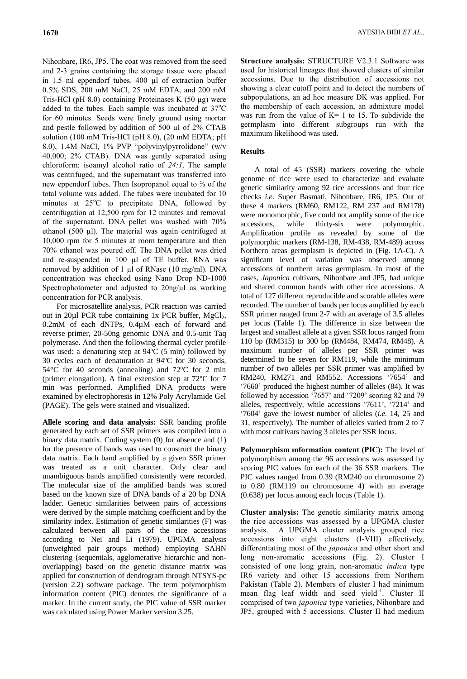Nihonbare, IR6, JP5. The coat was removed from the seed and 2-3 grains containing the storage tissue were placed in 1.5 ml eppendorf tubes. 400 µl of extraction buffer 0.5% SDS, 200 mM NaCl, 25 mM EDTA, and 200 mM Tris-HCl (pH 8.0) containing Proteinases K (50 µg) were added to the tubes. Each sample was incubated at  $37^{\circ}$ C for 60 minutes. Seeds were finely ground using mortar and pestle followed by addition of 500 µl of 2% CTAB solution (100 mM Tris-HCl (pH 8.0), (20 mM EDTA; pH 8.0), 1.4M NaCl, 1% PVP "polyvinylpyrrolidone" (w/v 40,000; 2% CTAB). DNA was gently separated using chloroform: isoamyl alcohol ratio of *24:1*. The sample was centrifuged, and the supernatant was transferred into new eppendorf tubes. Then Isopropanol equal to ⅔ of the total volume was added. The tubes were incubated for 10 minutes at 25°C to precipitate DNA, followed by centrifugation at 12,500 rpm for 12 minutes and removal of the supernatant. DNA pellet was washed with 70% ethanol (500 µl). The material was again centrifuged at 10,000 rpm for 5 minutes at room temperature and then 70% ethanol was poured off. The DNA pellet was dried and re-suspended in 100 µl of TE buffer. RNA was removed by addition of 1 µl of RNase (10 mg/ml). DNA concentration was checked using Nano Drop ND-1000 Spectrophotometer and adjusted to  $20$ ng/ $\mu$ l as working concentration for PCR analysis.

For microsatellite analysis, PCR reaction was carried out in 20 $\mu$ l PCR tube containing 1x PCR buffer, MgCl<sub>2</sub>, 0.2mM of each dNTPs, 0.4µM each of forward and reverse primer, 20-50ng genomic DNA and 0.5-unit Taq polymerase. And then the following thermal cycler profile was used: a denaturing step at 94ºC (5 min) followed by 30 cycles each of denaturation at 94ºC for 30 seconds, 54°C for 40 seconds (annealing) and 72ºC for 2 min (primer elongation). A final extension step at 72ºC for 7 min was performed. Amplified DNA products were examined by electrophoresis in 12% Poly Acrylamide Gel (PAGE). The gels were stained and visualized.

**Allele scoring and data analysis:** SSR banding profile generated by each set of SSR primers was compiled into a binary data matrix. Coding system (0) for absence and (1) for the presence of bands was used to construct the binary data matrix. Each band amplified by a given SSR primer was treated as a unit character. Only clear and unambiguous bands amplified consistently were recorded. The molecular size of the amplified bands was scored based on the known size of DNA bands of a 20 bp DNA ladder. Genetic similarities between pairs of accessions were derived by the simple matching coefficient and by the similarity index. Estimation of genetic similarities (F) was calculated between all pairs of the rice accessions according to Nei and Li (1979). UPGMA analysis (unweighted pair groups method) employing SAHN clustering (sequentials, agglomerative hierarchic and nonoverlapping) based on the genetic distance matrix was applied for construction of dendrogram through NTSYS-pc (version 2.2) software package. The term polymorphism information content (PIC) denotes the significance of a marker. In the current study, the PIC value of SSR marker was calculated using Power Marker version 3.25.

**Structure analysis:** STRUCTURE V2.3.1 Software was used for historical lineages that showed clusters of similar accessions. Due to the distribution of accessions not showing a clear cutoff point and to detect the numbers of subpopulations, an ad hoc measure DK was applied. For the membership of each accession, an admixture model was run from the value of  $K=1$  to 15. To subdivide the germplasm into different subgroups run with the maximum likelihood was used.

# **Results**

A total of 45 (SSR) markers covering the whole genome of rice were used to characterize and evaluate genetic similarity among 92 rice accessions and four rice checks *i.e*. Super Basmati, Nihonbare, IR6, JP5. Out of these 4 markers (RM60, RM122, RM 237 and RM178) were monomorphic, five could not amplify some of the rice accessions, while thirty-six were polymorphic. Amplification profile as revealed by some of the polymorphic markers (RM-138, RM-438, RM-489) across Northern areas germplasm is depicted in (Fig. 1A-C). A significant level of variation was observed among accessions of northern areas germplasm. In most of the cases, *Japonica* cultivars, Nihonbare and JP5, had unique and shared common bands with other rice accessions. A total of 127 different reproducible and scorable alleles were recorded. The number of bands per locus amplified by each SSR primer ranged from 2-7 with an average of 3.5 alleles per locus (Table 1). The difference in size between the largest and smallest allele at a given SSR locus ranged from 110 bp (RM315) to 300 bp (RM484, RM474, RM48). A maximum number of alleles per SSR primer was determined to be seven for RM119, while the minimum number of two alleles per SSR primer was amplified by RM240, RM271 and RM552. Accessions "7654" and "7660" produced the highest number of alleles (84). It was followed by accession '7657' and '7209' scoring 82 and 79 alleles, respectively, while accessions '7611', '7214' and "7604" gave the lowest number of alleles (*i.e*. 14, 25 and 31, respectively). The number of alleles varied from 2 to 7 with most cultivars having 3 alleles per SSR locus.

**Polymorphism ınformation content (PIC):** The level of polymorphism among the 96 accessions was assessed by scoring PIC values for each of the 36 SSR markers. The PIC values ranged from 0.39 (RM240 on chromosome 2) to 0.80 (RM119 on chromosome 4) with an average (0.638) per locus among each locus (Table 1).

**Cluster analysis:** The genetic similarity matrix among the rice accessions was assessed by a UPGMA cluster analysis. A UPGMA cluster analysis grouped rice accessions into eight clusters (I-VIII) effectively, differentiating most of the *japonica* and other short and long non-aromatic accessions (Fig. 2). Cluster I consisted of one long grain, non-aromatic *indica* type IR6 variety and other 15 accessions from Northern Pakistan (Table 2). Members of cluster I had minimum mean flag leaf width and seed yield<sup>-1</sup>. Cluster II comprised of two *japonica* type varieties, Nihonbare and JP5, grouped with 5 accessions. Cluster II had medium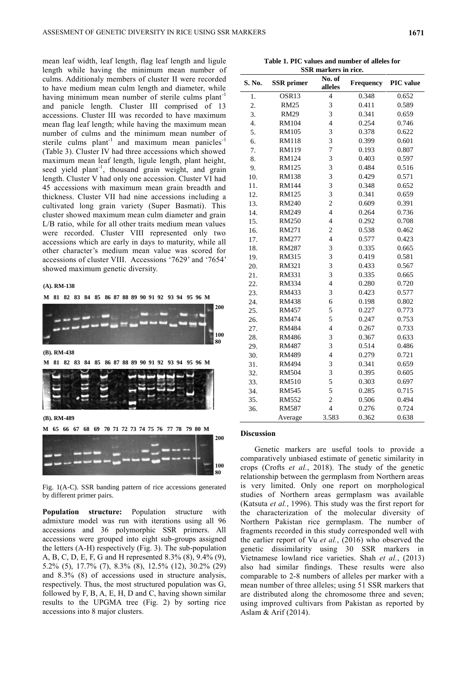mean leaf width, leaf length, flag leaf length and ligule length while having the minimum mean number of culms. Additionaly members of cluster II were recorded to have medium mean culm length and diameter, while having minimum mean number of sterile culms  $plant^{-1}$ and panicle length. Cluster III comprised of 13 accessions. Cluster III was recorded to have maximum mean flag leaf length; while having the maximum mean number of culms and the minimum mean number of sterile culms plant<sup>-1</sup> and maximum mean panicles<sup>-1</sup> (Table 3). Cluster IV had three accessions which showed maximum mean leaf length, ligule length, plant height, seed yield plant<sup>-1</sup>, thousand grain weight, and grain length. Cluster V had only one accession. Cluster VI had 45 accessions with maximum mean grain breadth and thickness. Cluster VII had nine accessions including a cultivated long grain variety (Super Basmati). This cluster showed maximum mean culm diameter and grain L/B ratio, while for all other traits medium mean values were recorded. Cluster VIII represented only two accessions which are early in days to maturity, while all other character"s medium mean value was scored for accessions of cluster VIII. Accessions "7629" and "7654" showed maximum genetic diversity.

#### **(A). RM-138**

**M 81 82 83 84 85 86 87 88 89 90 91 92 93 94 95 96 M M 81 82 83 84 85 86 87 88 89 90 91 92 93 94 95 96 M 200 100 80 M 65 66 67 68 69 70 71 72 73 74 75 76 77 78 79 80 M 200 100 80 (B). RM-438 (B). RM-489**

Fig. 1(A-C). SSR banding pattern of rice accessions generated by different primer pairs.

**Population structure:** Population structure with admixture model was run with iterations using all 96 accessions and 36 polymorphic SSR primers. All accessions were grouped into eight sub-groups assigned the letters (A-H) respectively (Fig. 3). The sub-population A, B, C, D, E, F, G and H represented 8.3% (8), 9.4% (9), 5.2% (5), 17.7% (7), 8.3% (8), 12.5% (12), 30.2% (29) and 8.3% (8) of accessions used in structure analysis, respectively. Thus, the most structured population was G, followed by F, B, A, E, H, D and C, having shown similar results to the UPGMA tree (Fig. 2) by sorting rice accessions into 8 major clusters.

**Table 1. PIC values and number of alleles for SSR markers in rice.**

| S. No. | <b>SSR</b> primer | No. of<br>alleles | <b>Frequency</b> | <b>PIC</b> value |  |
|--------|-------------------|-------------------|------------------|------------------|--|
| 1.     | OSR13             | $\overline{4}$    | 0.348            | 0.652            |  |
| 2.     | <b>RM25</b>       | 3                 | 0.411            | 0.589            |  |
| 3.     | <b>RM29</b>       | 3                 | 0.341            | 0.659            |  |
| 4.     | <b>RM104</b>      | $\overline{4}$    | 0.254            | 0.746            |  |
| 5.     | <b>RM105</b>      | 3                 | 0.378            | 0.622            |  |
| 6.     | <b>RM118</b>      | 3                 | 0.399            | 0.601            |  |
| 7.     | <b>RM119</b>      | 7                 | 0.193            | 0.807            |  |
| 8.     | RM124             | 3                 | 0.403            | 0.597            |  |
| 9.     | RM125             | 3                 | 0.484            | 0.516            |  |
| 10.    | <b>RM138</b>      | 3                 | 0.429            | 0.571            |  |
| 11.    | <b>RM144</b>      | 3                 | 0.348            | 0.652            |  |
| 12.    | <b>RM125</b>      | 3<br>0.341        |                  | 0.659            |  |
| 13.    | <b>RM240</b>      | $\overline{c}$    | 0.609            | 0.391            |  |
| 14.    | RM249             | $\overline{4}$    | 0.264            | 0.736            |  |
| 15.    | <b>RM250</b>      | $\overline{4}$    | 0.292            | 0.708            |  |
| 16.    | RM271             | $\overline{c}$    | 0.538            | 0.462            |  |
| 17.    | <b>RM277</b>      | $\overline{4}$    | 0.577            | 0.423            |  |
| 18.    | <b>RM287</b>      | 3                 | 0.335            | 0.665            |  |
| 19.    | RM315             | 3                 | 0.419            | 0.581            |  |
| 20.    | RM321             | 3                 | 0.433            | 0.567            |  |
| 21.    | RM331             | 3                 | 0.335            | 0.665            |  |
| 22.    | <b>RM334</b>      | $\overline{4}$    | 0.280            | 0.720            |  |
| 23.    | RM433             | 3                 | 0.423            | 0.577            |  |
| 24.    | <b>RM438</b>      | 6                 | 0.198            | 0.802            |  |
| 25.    | RM457             | 5                 | 0.227            | 0.773            |  |
| 26.    | RM474             | 5                 | 0.247            | 0.753            |  |
| 27.    | <b>RM484</b>      | $\overline{4}$    | 0.267            | 0.733            |  |
| 28.    | <b>RM486</b>      | 3                 | 0.367            | 0.633            |  |
| 29.    | <b>RM487</b>      | 3                 | 0.514            | 0.486            |  |
| 30.    | <b>RM489</b>      | $\overline{4}$    | 0.279            | 0.721            |  |
| 31.    | <b>RM494</b>      | 3                 | 0.341            | 0.659            |  |
| 32.    | <b>RM504</b>      | 3                 | 0.395            | 0.605            |  |
| 33.    | <b>RM510</b>      | 5                 | 0.303            | 0.697            |  |
| 34.    | <b>RM545</b>      | 5                 | 0.285            | 0.715            |  |
| 35.    | <b>RM552</b>      | $\overline{c}$    | 0.506            | 0.494            |  |
| 36.    | <b>RM587</b>      | $\overline{4}$    | 0.276            | 0.724            |  |
|        | Average           | 3.583             | 0.362            | 0.638            |  |

#### **Discussion**

Genetic markers are useful tools to provide a comparatively unbiased estimate of genetic similarity in crops (Crofts *et al.*, 2018). The study of the genetic relationship between the germplasm from Northern areas is very limited. Only one report on morphological studies of Northern areas germplasm was available (Katsuta *et al.*, 1996). This study was the first report for the characterization of the molecular diversity of Northern Pakistan rice germplasm. The number of fragments recorded in this study corresponded well with the earlier report of Vu *et al.*, (2016) who observed the genetic dissimilarity using 30 SSR markers in Vietnamese lowland rice varieties. Shah *et al.*, (2013) also had similar findings. These results were also comparable to 2-8 numbers of alleles per marker with a mean number of three alleles; using 51 SSR markers that are distributed along the chromosome three and seven; using improved cultivars from Pakistan as reported by Aslam & Arif (2014).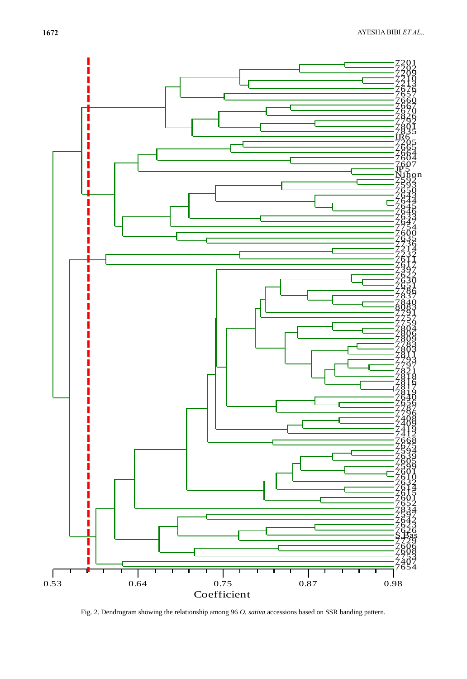

Fig. 2. Dendrogram showing the relationship among 96 *O. sativa* accessions based on SSR banding pattern.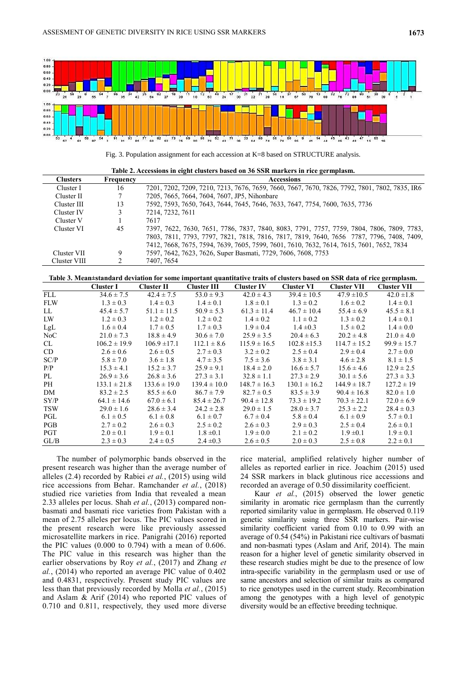

Fig. 3. Population assignment for each accession at K=8 based on STRUCTURE analysis.

**Table 2. Accessions in eight clusters based on 36 SSR markers in rice germplasm.**

| <b>Clusters</b> | Frequency | Accessions                                                                                    |  |  |  |
|-----------------|-----------|-----------------------------------------------------------------------------------------------|--|--|--|
| Cluster I       | 16        | 7201, 7202, 7209, 7210, 7213, 7676, 7659, 7660, 7667, 7670, 7826, 7792, 7801, 7802, 7835, IR6 |  |  |  |
| Cluster II      |           | 7205, 7665, 7664, 7604, 7607, JP5, Nihonbare                                                  |  |  |  |
| Cluster III     | 13        | 7592, 7593, 7650, 7643, 7644, 7645, 7646, 7633, 7647, 7754, 7600, 7635, 7736                  |  |  |  |
| Cluster IV      |           | 7214, 7232, 7611                                                                              |  |  |  |
| Cluster V       |           | 7617                                                                                          |  |  |  |
| Cluster VI      | 45        | 7397, 7622, 7630, 7651, 7786, 7837, 7840, 8083, 7791, 7757, 7759, 7804, 7806, 7809, 7783,     |  |  |  |
|                 |           | 7803, 7811, 7793, 7797, 7821, 7818, 7816, 7817, 7819, 7640, 7656 7787, 7796, 7408, 7409,      |  |  |  |
|                 |           | 7412, 7668, 7675, 7594, 7639, 7605, 7599, 7601, 7610, 7632, 7614, 7615, 7601, 7652, 7834      |  |  |  |
| Cluster VII     | 9         | 7597, 7642, 7623, 7626, Super Basmati, 7729, 7606, 7608, 7753                                 |  |  |  |
| Cluster VIII    |           | 7407, 7654                                                                                    |  |  |  |

**Table 3. Mean±standard deviation for some important quantitative traits of clusters based on SSR data of rice germplasm.**

|            | Cluster I        | <b>Cluster II</b> | <b>Cluster III</b> | <b>Cluster IV</b> | <b>Cluster VI</b> | <b>Cluster VII</b> | <b>Cluster VII</b> |
|------------|------------------|-------------------|--------------------|-------------------|-------------------|--------------------|--------------------|
| <b>FLL</b> | $34.6 \pm 7.5$   | $42.4 \pm 7.5$    | $53.0 \pm 9.3$     | $42.0 \pm 4.3$    | $39.4 \pm 10.5$   | $47.9 \pm 10.5$    | $42.0 \pm 1.8$     |
| <b>FLW</b> | $1.3 \pm 0.3$    | $1.4 \pm 0.3$     | $1.4 \pm 0.1$      | $1.8 \pm 0.1$     | $1.3 \pm 0.2$     | $1.6 \pm 0.2$      | $1.4 \pm 0.1$      |
| LL         | $45.4 \pm 5.7$   | $51.1 \pm 11.5$   | $50.9 \pm 5.3$     | $61.3 \pm 11.4$   | $46.7 \pm 10.4$   | $55.4 \pm 6.9$     | $45.5 \pm 8.1$     |
| LW         | $1.2 \pm 0.3$    | $1.2 \pm 0.2$     | $1.2 \pm 0.2$      | $1.4 \pm 0.2$     | $1.1 \pm 0.2$     | $1.3 \pm 0.2$      | $1.4 \pm 0.1$      |
| LgL        | $1.6 \pm 0.4$    | $1.7 \pm 0.5$     | $1.7 \pm 0.3$      | $1.9 \pm 0.4$     | $1.4 \pm 0.3$     | $1.5 \pm 0.2$      | $1.4 \pm 0.0$      |
| NoC        | $21.0 \pm 7.3$   | $18.8 \pm 4.9$    | $30.6 \pm 7.0$     | $25.9 \pm 3.5$    | $20.4 \pm 6.3$    | $20.2 \pm 4.8$     | $21.0 \pm 4.0$     |
| CL.        | $106.2 \pm 19.9$ | $106.9 \pm 17.1$  | $112.1 \pm 8.6$    | $115.9 \pm 16.5$  | $102.8 \pm 15.3$  | $114.7 \pm 15.2$   | $99.9 \pm 15.7$    |
| CD         | $2.6 \pm 0.6$    | $2.6 \pm 0.5$     | $2.7 \pm 0.3$      | $3.2 \pm 0.2$     | $2.5 \pm 0.4$     | $2.9 \pm 0.4$      | $2.7 \pm 0.0$      |
| SC/P       | $5.8 \pm 7.0$    | $3.6 \pm 1.8$     | $4.7 \pm 3.5$      | $7.5 \pm 3.6$     | $3.8 \pm 3.1$     | $4.6 \pm 2.8$      | $8.1 \pm 1.5$      |
| P/P        | $15.3 \pm 4.1$   | $15.2 \pm 3.7$    | $25.9 \pm 9.1$     | $18.4 \pm 2.0$    | $16.6 \pm 5.7$    | $15.6 \pm 4.6$     | $12.9 \pm 2.5$     |
| PL         | $26.9 \pm 3.6$   | $26.8 \pm 3.6$    | $27.3 \pm 3.1$     | $32.8 \pm 1.1$    | $27.3 \pm 2.9$    | $30.1 \pm 5.6$     | $27.3 \pm 3.3$     |
| PH         | $133.1 \pm 21.8$ | $133.6 \pm 19.0$  | $139.4 \pm 10.0$   | $148.7 \pm 16.3$  | $130.1 \pm 16.2$  | $144.9 \pm 18.7$   | $127.2 \pm 19$     |
| DM         | $83.2 \pm 2.5$   | $85.5 \pm 6.0$    | $86.7 \pm 7.9$     | $82.7 \pm 0.5$    | $83.5 \pm 3.9$    | $90.4 \pm 16.8$    | $82.0 \pm 1.0$     |
| SY/P       | $64.1 \pm 14.6$  | $67.0 \pm 6.1$    | $85.4 \pm 26.7$    | $90.4 \pm 12.8$   | $73.3 \pm 19.2$   | $70.3 \pm 22.1$    | $72.0 \pm 6.9$     |
| <b>TSW</b> | $29.0 \pm 1.6$   | $28.6 \pm 3.4$    | $24.2 \pm 2.8$     | $29.0 \pm 1.5$    | $28.0 \pm 3.7$    | $25.3 \pm 2.2$     | $28.4 \pm 0.3$     |
| PGL        | $6.1 \pm 0.5$    | $6.1 \pm 0.8$     | $6.1 \pm 0.7$      | $6.7 \pm 0.4$     | $5.8 \pm 0.4$     | $6.1 \pm 0.9$      | $5.7 \pm 0.1$      |
| <b>PGB</b> | $2.7 \pm 0.2$    | $2.6 \pm 0.3$     | $2.5 \pm 0.2$      | $2.6 \pm 0.3$     | $2.9 \pm 0.3$     | $2.5 \pm 0.4$      | $2.6 \pm 0.1$      |
| <b>PGT</b> | $2.0 \pm 0.1$    | $1.9 \pm 0.1$     | $1.8 \pm 0.1$      | $1.9 \pm 0.0$     | $2.1 \pm 0.2$     | $1.9 \pm 0.1$      | $1.9 \pm 0.1$      |
| GL/B       | $2.3 \pm 0.3$    | $2.4 \pm 0.5$     | $2.4 \pm 0.3$      | $2.6 \pm 0.5$     | $2.0 \pm 0.3$     | $2.5 \pm 0.8$      | $2.2 \pm 0.1$      |

The number of polymorphic bands observed in the present research was higher than the average number of alleles (2.4) recorded by Rabiei *et al.*, (2015) using wild rice accessions from Behar. Ramchander *et al.*, (2018) studied rice varieties from India that revealed a mean 2.33 alleles per locus. Shah *et al.*, (2013) compared nonbasmati and basmati rice varieties from Pakistan with a mean of 2.75 alleles per locus. The PIC values scored in the present research were like previously assessed microsatellite markers in rice. Panigrahi (2016) reported the PIC values (0.000 to 0.794) with a mean of 0.606. The PIC value in this research was higher than the earlier observations by Roy *et al.*, (2017) and Zhang *et al.*, (2014) who reported an average PIC value of 0.402 and 0.4831, respectively. Present study PIC values are less than that previously recorded by Molla *et al.*, (2015) and Aslam & Arif (2014) who reported PIC values of 0.710 and 0.811, respectively, they used more diverse

rice material, amplified relatively higher number of alleles as reported earlier in rice. Joachim (2015) used 24 SSR markers in black glutinous rice accessions and recorded an average of 0.50 dissimilarity coefficient.

Kaur *et al.*, (2015) observed the lower genetic similarity in aromatic rice germplasm than the currently reported similarity value in germplasm. He observed 0.119 genetic similarity using three SSR markers. Pair-wise similarity coefficient varied from 0.10 to 0.99 with an average of 0.54 (54%) in Pakistani rice cultivars of basmati and non-basmati types (Aslam and Arif, 2014). The main reason for a higher level of genetic similarity observed in these research studies might be due to the presence of low intra-specific variability in the germplasm used or use of same ancestors and selection of similar traits as compared to rice genotypes used in the current study. Recombination among the genotypes with a high level of genotypic diversity would be an effective breeding technique.